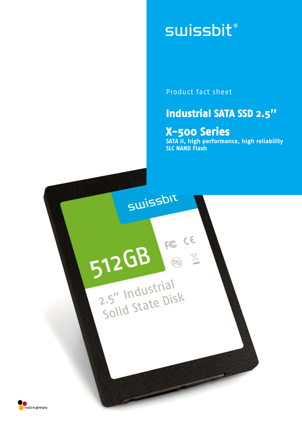# **swissbit**®

Product fact sheet

## **Industrial SATA SSD 2.5''**

## **X-500 Series**

**SATA II, high performance, high reliability SLC NAND Flash**

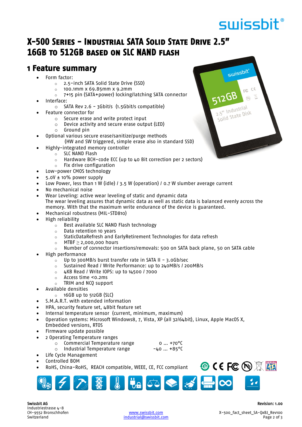## swissbit®

swissbit®

**12GB** 

2.5" Industrial 2.5" Industries<br>Solid State Disk

FE CE

### **X-500 Series - Industrial SATA Solid State Drive 2.5" 16GB to 512GB based on SLC NAND flash**

### **1 Feature summary**

- Form factor:
	- o 2.5-inch SATA Solid State Drive (SSD)
	- o 100.1mm x 69.85mm x 9.2mm
	- o 7+15 pin (SATA+power) locking/latching SATA connector
- Interface:
	- $\circ$  SATA Rev 2.6 3Gbit/s (1.5Gbit/s compatible)
- Feature connector for
	- o Secure erase and write protect input
	- o Device activity and secure erase output (LED)
	- o Ground pin
- Optional various secure erase/sanitize/purge methods
	- (HW and SW triggered, simple erase also in standard SSD)
- Highly-integrated memory controller
	- o SLC NAND Flash
	- o Hardware BCH-code ECC (up to 40 Bit correction per 2 sectors)
	- o Fix drive configuration
- Low-power CMOS technology
- 5.0V ± 10% power supply
- Low Power, less than 1 W (idle) / 3.5 W (operation) / 0.7 W slumber average current
- No mechanical noise
- Wear Leveling: active wear leveling of static and dynamic data The wear leveling assures that dynamic data as well as static data is balanced evenly across the memory. With that the maximum write endurance of the device is guaranteed.
	- Mechanical robustness (MIL-STD810)
- High reliability
	- o Best available SLC NAND Flash technology
	- o Data retention 10 years
	- o StaticDataRefresh and EarlyRetirement Technologies for data refresh
	- $\circ$  MTBF  $\geq$  2,000,000 hours
	- $\circ$  Number of connector insertions/removals: 500 on SATA back plane, 50 on SATA cable
- High performance
	- o Up to 300MB/s burst transfer rate in SATA II 3.0Gb/sec
	- o Sustained Read / Write Performance: up to 240MB/s / 200MB/s
	- o 4KB Read / Write IOPS: up to 14500 / 7000
	- o Access time <0.2ms
	- o TRIM and NCQ support
- Available densities
	- o 16GB up to 512GB (SLC)
- S.M.A.R.T. with extended information
- HPA, security feature set, 48bit feature set
- Internal temperature sensor (current, minimum, maximum)
- Operation systems: Microsoft Windows8, 7, Vista, XP (all 32/64bit), Linux, Apple MacOS X, Embedded versions, RTOS
- Firmware update possible
- 2 Operating Temperature ranges
	- $\circ$  Commercial Temperature range  $\circ$   $\ldots$  +70 $\circ$ C
	- $\circ$  Industrial Temperature range  $-40$  ... +85°C
- Life Cycle Management Controlled BOM
- RoHS, China-RoHS, REACH compatible, WEEE, CE, FCC compliant



Swissbit AG Revision: 1.00 Industriestrasse 4-8<br>CH-9552 Bronschhofen

**OCEFC HIS 图** 

industrial@swissbit.com